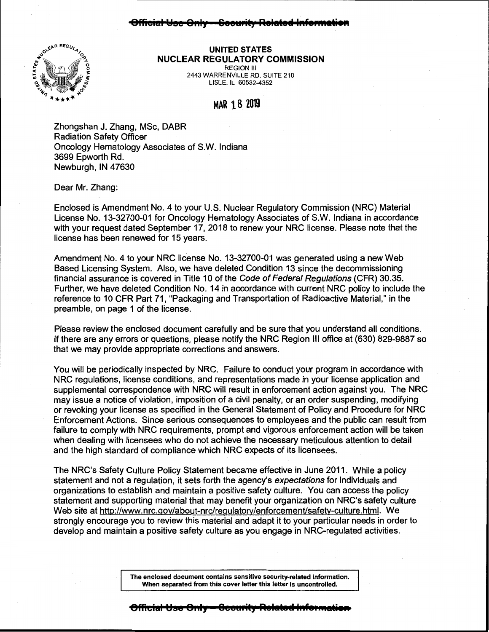## <del>cial Use Only - Coourity Rolato</del>r



## **UNITED STATES NUCLEAR REGULATORY COMMISSION**  REGION Ill 2443 WARRENVILLE RD. SUITE 210

LISLE, IL 60532-4352

## MAR 18 <sup>2019</sup>

Zhongshan J. Zhang, MSc, DABR Radiation Safety Officer Oncology Hematology Associates of S.W. Indiana 3699 Epworth Rd. Newburgh, IN 47630

Dear Mr. Zhang:

Enclosed is Amendment No. 4 to your U.S. Nuclear Regulatory Commission (NRC) Material License No. 13-32700-01 for Oncology Hematology Associates of S.W. Indiana in accordance with your request dated September 17, 2018 to renew your NRC license. Please note that the license has been renewed for 15 years.

Amendment No. 4 to your NRC license No. 13-32700-01 was generated using a new Web Based Licensing System. Also, we have deleted Condition 13 since the decommissioning financial assurance is covered in Title 10 of the Code of Federal Regulations (CFR) 30.35. Further, we have deleted Condition No. 14 in accordance with current NRC policy to include the reference to 10 CFR Part 71, "Packaging and Transportation of Radioactive Material," in the preamble, on page 1 of the license.

Please review the enclosed document carefully and be sure that you understand all conditions. If there are any errors or questions, please notify the NRC Region Ill office at (630) 829-9887 so that we may provide appropriate corrections and answers.

You will be periodically inspected by NRC. Failure to conduct your program in accordance with NRC regulations, license conditions, and representations made in your license application and supplemental correspondence with NRC will result in enforcement action against you. The NRC may issue a notice of violation, imposition of a civil penalty, or an order suspending, modifying or revoking your license as specified in the General Statement of Policy and Procedure for NRC Enforcement Actions. Since serious consequences to employees and the public can result from failure to comply with NRC requirements, prompt and vigorous enforcement action will be taken when dealing with licensees who do not achieve the necessary meticulous attention to detail and the high standard of compliance which NRG expects of its licensees.

The NRC's Safety Culture Policy Statement became effective in June 2011. While a policy statement and not a regulation, it sets forth the agency's expectations for individuals and organizations to establish and maintain a positive safety culture. You can access the policy statement and supporting material that may benefit your organization on NRC's safety culture Web site at http://www.nrc.gov/about-nrc/regulatory/enforcement/safety-culture.html. We strongly encourage you to review this material and adapt it to your particular needs in order to develop and maintain a positive safety culture as you engage in NRG-regulated activities.

> **The enclosed document contains sensitive security-related information. When separated from this cover letter this letter is uncontrolled.**